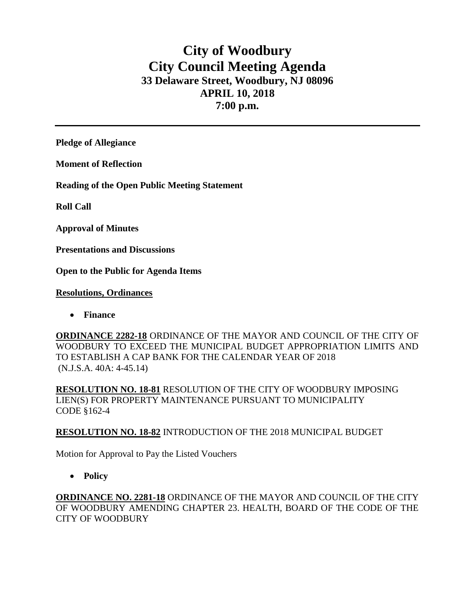# **City of Woodbury City Council Meeting Agenda 33 Delaware Street, Woodbury, NJ 08096 APRIL 10, 2018 7:00 p.m.**

**Pledge of Allegiance**

**Moment of Reflection**

**Reading of the Open Public Meeting Statement**

**Roll Call**

**Approval of Minutes**

**Presentations and Discussions**

**Open to the Public for Agenda Items**

### **Resolutions, Ordinances**

**Finance** 

**ORDINANCE 2282-18** ORDINANCE OF THE MAYOR AND COUNCIL OF THE CITY OF WOODBURY TO EXCEED THE MUNICIPAL BUDGET APPROPRIATION LIMITS AND TO ESTABLISH A CAP BANK FOR THE CALENDAR YEAR OF 2018 (N.J.S.A. 40A: 4-45.14)

**RESOLUTION NO. 18-81** RESOLUTION OF THE CITY OF WOODBURY IMPOSING LIEN(S) FOR PROPERTY MAINTENANCE PURSUANT TO MUNICIPALITY CODE §162-4

### **RESOLUTION NO. 18-82** INTRODUCTION OF THE 2018 MUNICIPAL BUDGET

Motion for Approval to Pay the Listed Vouchers

**Policy**

**ORDINANCE NO. 2281-18** ORDINANCE OF THE MAYOR AND COUNCIL OF THE CITY OF WOODBURY AMENDING CHAPTER 23. HEALTH, BOARD OF THE CODE OF THE CITY OF WOODBURY